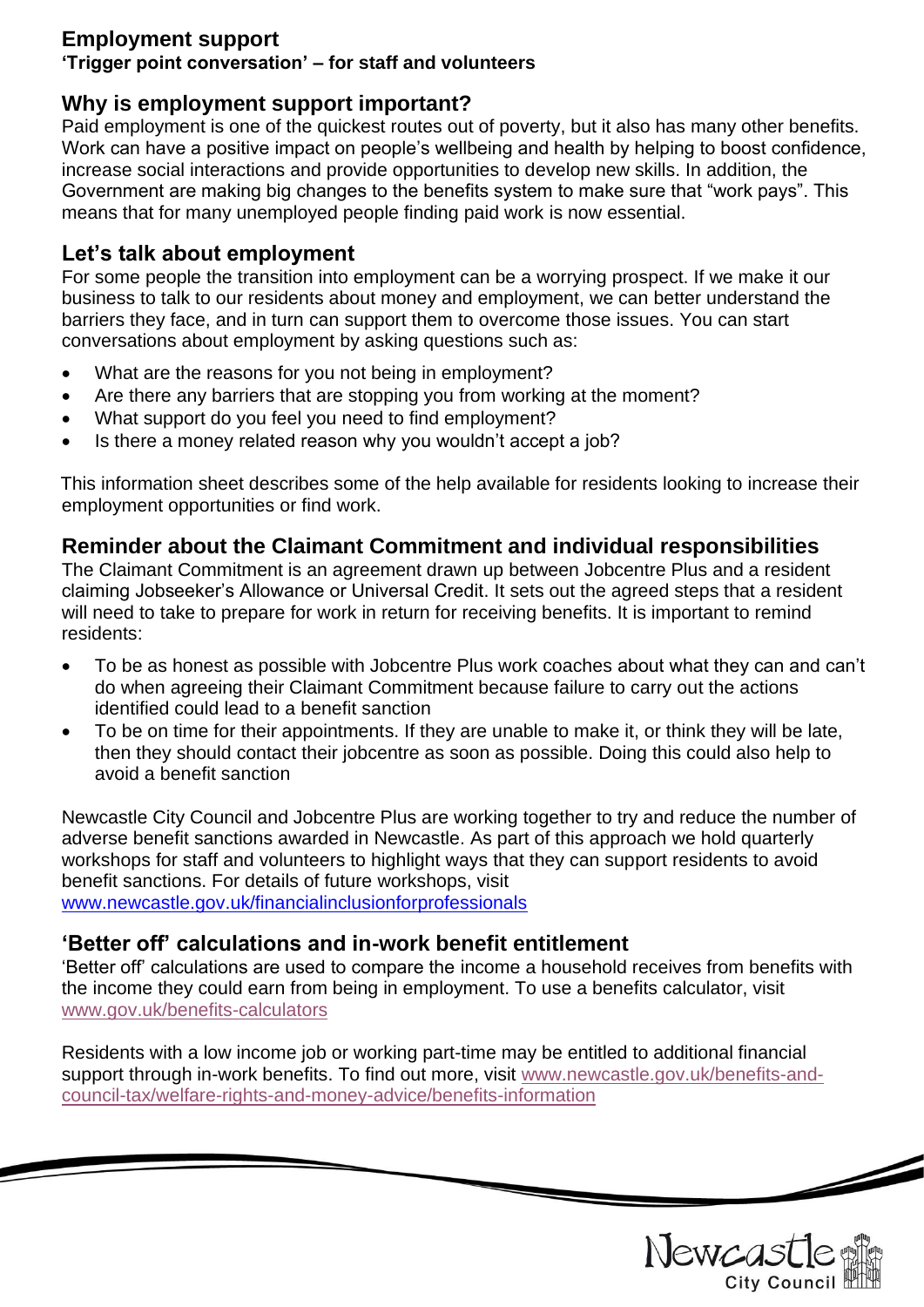### **Employment support**

#### **'Trigger point conversation' – for staff and volunteers**

# **Why is employment support important?**

Paid employment is one of the quickest routes out of poverty, but it also has many other benefits. Work can have a positive impact on people's wellbeing and health by helping to boost confidence, increase social interactions and provide opportunities to develop new skills. In addition, the Government are making big changes to the benefits system to make sure that "work pays". This means that for many unemployed people finding paid work is now essential.

# **Let's talk about employment**

For some people the transition into employment can be a worrying prospect. If we make it our business to talk to our residents about money and employment, we can better understand the barriers they face, and in turn can support them to overcome those issues. You can start conversations about employment by asking questions such as:

- What are the reasons for you not being in employment?
- Are there any barriers that are stopping you from working at the moment?
- What support do you feel you need to find employment?
- Is there a money related reason why you wouldn't accept a job?

This information sheet describes some of the help available for residents looking to increase their employment opportunities or find work.

# **Reminder about the Claimant Commitment and individual responsibilities**

The Claimant Commitment is an agreement drawn up between Jobcentre Plus and a resident claiming Jobseeker's Allowance or Universal Credit. It sets out the agreed steps that a resident will need to take to prepare for work in return for receiving benefits. It is important to remind residents:

- To be as honest as possible with Jobcentre Plus work coaches about what they can and can't do when agreeing their Claimant Commitment because failure to carry out the actions identified could lead to a benefit sanction
- To be on time for their appointments. If they are unable to make it, or think they will be late, then they should contact their jobcentre as soon as possible. Doing this could also help to avoid a benefit sanction

Newcastle City Council and Jobcentre Plus are working together to try and reduce the number of adverse benefit sanctions awarded in Newcastle. As part of this approach we hold quarterly workshops for staff and volunteers to highlight ways that they can support residents to avoid benefit sanctions. For details of future workshops, visit [www.newcastle.gov.uk/financialinclusionforprofessionals](http://www.newcastle.gov.uk/financialinclusionforprofessionals)

# **'Better off' calculations and in-work benefit entitlement**

'Better off' calculations are used to compare the income a household receives from benefits with the income they could earn from being in employment. To use a benefits calculator, visit [www.gov.uk/benefits-calculators](http://www.gov.uk/benefits-calculators) 

Residents with a low income job or working part-time may be entitled to additional financial support through in-work benefits. To find out more, visit [www.newcastle.gov.uk/benefits-and](http://www.newcastle.gov.uk/benefits-and-council-tax/welfare-rights-and-money-advice/benefits-information)[council-tax/welfare-rights-and-money-advice/benefits-information](http://www.newcastle.gov.uk/benefits-and-council-tax/welfare-rights-and-money-advice/benefits-information)

Newcas **City Council** 

 $\overline{\phantom{a}}$